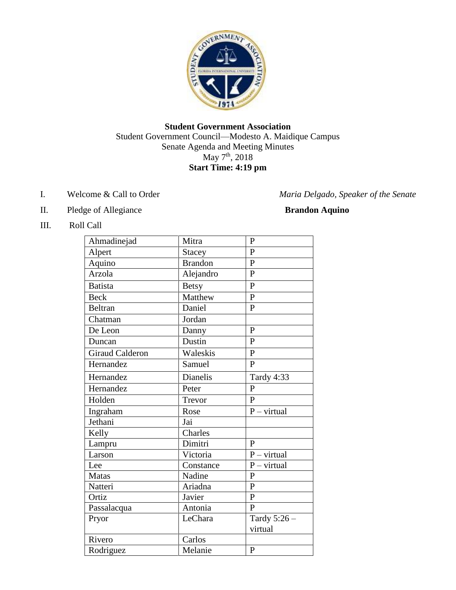

## **Student Government Association** Student Government Council—Modesto A. Maidique Campus Senate Agenda and Meeting Minutes May 7<sup>th</sup>, 2018 **Start Time: 4:19 pm**

- 
- II. Pledge of Allegiance **Brandon Aquino**

I. Welcome & Call to Order *Maria Delgado, Speaker of the Senate* 

## III. Roll Call

| Ahmadinejad            | Mitra<br>P      |                |  |
|------------------------|-----------------|----------------|--|
| Alpert                 | Stacey          | $\mathbf{P}$   |  |
| Aquino                 | <b>Brandon</b>  | $\overline{P}$ |  |
| Arzola                 | Alejandro       | $\mathbf{P}$   |  |
| <b>Batista</b>         | <b>Betsy</b>    | $\overline{P}$ |  |
| <b>Beck</b>            | Matthew         | $\overline{P}$ |  |
| <b>Beltran</b>         | Daniel          | $\mathbf{P}$   |  |
| Chatman                | Jordan          |                |  |
| De Leon                | Danny           | $\mathbf{P}$   |  |
| Duncan                 | Dustin          | $\mathbf{P}$   |  |
| <b>Giraud Calderon</b> | Waleskis        | $\mathbf{P}$   |  |
| Hernandez              | Samuel          | $\mathbf{p}$   |  |
| Hernandez              | <b>Dianelis</b> | Tardy 4:33     |  |
| Hernandez              | Peter           | $\mathbf{P}$   |  |
| Holden                 | Trevor          | $\mathbf{P}$   |  |
|                        |                 |                |  |
| Ingraham               | Rose            | $P - virtual$  |  |
| Jethani                | Jai             |                |  |
| Kelly                  | Charles         |                |  |
| Lampru                 | Dimitri         | $\mathbf{P}$   |  |
| Larson                 | Victoria        | $P - virtual$  |  |
| Lee                    | Constance       | $P - virtual$  |  |
| <b>Matas</b>           | Nadine          | $\mathbf{P}$   |  |
| Natteri                | Ariadna         | $\overline{P}$ |  |
| Ortiz                  | Javier          | $\overline{P}$ |  |
| Passalacqua            | Antonia         | $\mathbf{P}$   |  |
| Pryor                  | LeChara         | Tardy $5:26-$  |  |
|                        |                 | virtual        |  |
| Rivero                 | Carlos          |                |  |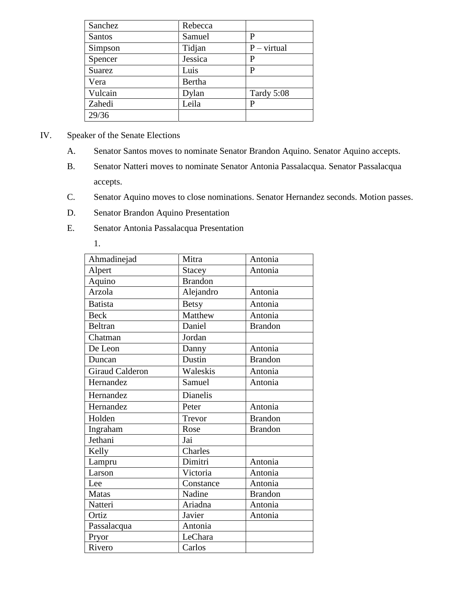| Sanchez       | Rebecca                 |            |
|---------------|-------------------------|------------|
| <b>Santos</b> | Samuel<br>P             |            |
| Simpson       | Tidjan<br>$P - virtual$ |            |
| Spencer       | Jessica                 | P          |
| <b>Suarez</b> | Luis                    | P          |
| Vera          | Bertha                  |            |
| Vulcain       | Dylan                   | Tardy 5:08 |
| Zahedi        | Leila                   | P          |
| 29/36         |                         |            |

- IV. Speaker of the Senate Elections
	- A. Senator Santos moves to nominate Senator Brandon Aquino. Senator Aquino accepts.
	- B. Senator Natteri moves to nominate Senator Antonia Passalacqua. Senator Passalacqua accepts.
	- C. Senator Aquino moves to close nominations. Senator Hernandez seconds. Motion passes.
	- D. Senator Brandon Aquino Presentation
	- E. Senator Antonia Passalacqua Presentation
		- 1.

| Ahmadinejad            | Mitra          | Antonia        |
|------------------------|----------------|----------------|
| Alpert                 | <b>Stacey</b>  | Antonia        |
| Aquino                 | <b>Brandon</b> |                |
| Arzola                 | Alejandro      | Antonia        |
| <b>Batista</b>         | <b>Betsy</b>   | Antonia        |
| <b>Beck</b>            | Matthew        | Antonia        |
| <b>Beltran</b>         | Daniel         | <b>Brandon</b> |
| Chatman                | Jordan         |                |
| De Leon                | Danny          | Antonia        |
| Duncan                 | Dustin         | <b>Brandon</b> |
| <b>Giraud Calderon</b> | Waleskis       | Antonia        |
| Hernandez              | Samuel         | Antonia        |
| Hernandez              | Dianelis       |                |
| Hernandez              | Peter          | Antonia        |
| Holden                 | Trevor         | <b>Brandon</b> |
| Ingraham               | Rose           | <b>Brandon</b> |
| Jethani                | Jai            |                |
| Kelly                  | Charles        |                |
| Lampru                 | Dimitri        | Antonia        |
| Larson                 | Victoria       | Antonia        |
| Lee                    | Constance      | Antonia        |
| <b>Matas</b>           | Nadine         | <b>Brandon</b> |
| Natteri                | Ariadna        | Antonia        |
| Ortiz                  | Javier         | Antonia        |
| Passalacqua            | Antonia        |                |
| Pryor                  | LeChara        |                |
| Rivero                 | Carlos         |                |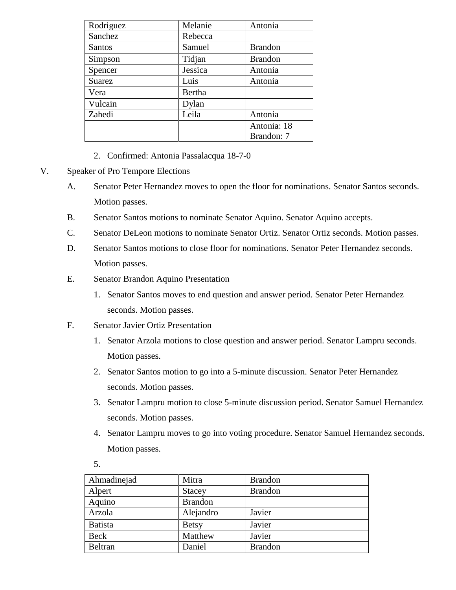| Rodriguez     | Melanie<br>Antonia       |                |
|---------------|--------------------------|----------------|
| Sanchez       | Rebecca                  |                |
| <b>Santos</b> | Samuel                   | <b>Brandon</b> |
| Simpson       | Tidjan<br><b>Brandon</b> |                |
| Spencer       | Jessica                  | Antonia        |
| <b>Suarez</b> | Luis                     | Antonia        |
| Vera          | Bertha                   |                |
| Vulcain       | Dylan                    |                |
| Zahedi        | Leila                    | Antonia        |
|               |                          | Antonia: 18    |
|               |                          | Brandon: 7     |

- 2. Confirmed: Antonia Passalacqua 18-7-0
- V. Speaker of Pro Tempore Elections
	- A. Senator Peter Hernandez moves to open the floor for nominations. Senator Santos seconds. Motion passes.
	- B. Senator Santos motions to nominate Senator Aquino. Senator Aquino accepts.
	- C. Senator DeLeon motions to nominate Senator Ortiz. Senator Ortiz seconds. Motion passes.
	- D. Senator Santos motions to close floor for nominations. Senator Peter Hernandez seconds. Motion passes.
	- E. Senator Brandon Aquino Presentation
		- 1. Senator Santos moves to end question and answer period. Senator Peter Hernandez seconds. Motion passes.
	- F. Senator Javier Ortiz Presentation
		- 1. Senator Arzola motions to close question and answer period. Senator Lampru seconds. Motion passes.
		- 2. Senator Santos motion to go into a 5-minute discussion. Senator Peter Hernandez seconds. Motion passes.
		- 3. Senator Lampru motion to close 5-minute discussion period. Senator Samuel Hernandez seconds. Motion passes.
		- 4. Senator Lampru moves to go into voting procedure. Senator Samuel Hernandez seconds. Motion passes.

| Ahmadinejad    | Mitra          | <b>Brandon</b> |
|----------------|----------------|----------------|
| Alpert         | <b>Stacey</b>  | <b>Brandon</b> |
| Aquino         | <b>Brandon</b> |                |
| Arzola         | Alejandro      | Javier         |
| <b>Batista</b> | <b>Betsy</b>   | Javier         |
| Beck           | Matthew        | Javier         |
| Beltran        | Daniel         | <b>Brandon</b> |

5.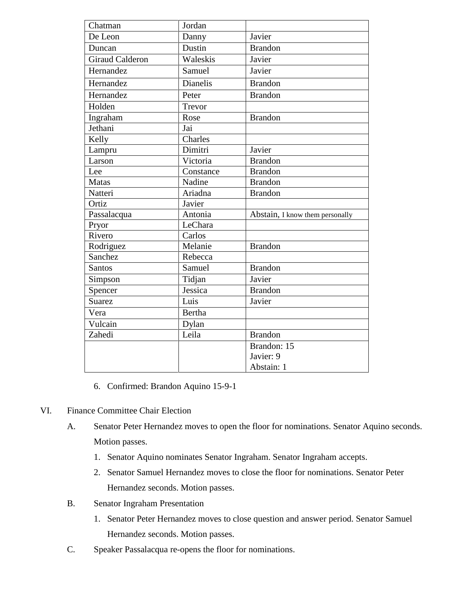| Chatman                | Jordan          |                                 |
|------------------------|-----------------|---------------------------------|
| De Leon                | Danny           | Javier                          |
| Duncan                 | Dustin          | <b>Brandon</b>                  |
| <b>Giraud Calderon</b> | Waleskis        | Javier                          |
| Hernandez              | Samuel          | Javier                          |
| Hernandez              | <b>Dianelis</b> | <b>Brandon</b>                  |
| Hernandez              | Peter           | <b>Brandon</b>                  |
| Holden                 | Trevor          |                                 |
| Ingraham               | Rose            | <b>Brandon</b>                  |
| Jethani                | Jai             |                                 |
| Kelly                  | Charles         |                                 |
| Lampru                 | Dimitri         | Javier                          |
| Larson                 | Victoria        | <b>Brandon</b>                  |
| Lee                    | Constance       | <b>Brandon</b>                  |
| <b>Matas</b>           | Nadine          | <b>Brandon</b>                  |
| Natteri                | Ariadna         | <b>Brandon</b>                  |
| Ortiz                  | Javier          |                                 |
| Passalacqua            | Antonia         | Abstain, I know them personally |
| Pryor                  | LeChara         |                                 |
| Rivero                 | Carlos          |                                 |
| Rodriguez              | Melanie         | <b>Brandon</b>                  |
| Sanchez                | Rebecca         |                                 |
| Santos                 | Samuel          | <b>Brandon</b>                  |
| Simpson                | Tidjan          | Javier                          |
| Spencer                | Jessica         | <b>Brandon</b>                  |
| <b>Suarez</b>          | Luis            | Javier                          |
| Vera                   | <b>Bertha</b>   |                                 |
| Vulcain                | Dylan           |                                 |
| Zahedi                 | Leila           | <b>Brandon</b>                  |
|                        |                 | Brandon: 15                     |
|                        |                 | Javier: 9                       |
|                        |                 | Abstain: 1                      |

- 6. Confirmed: Brandon Aquino 15-9-1
- VI. Finance Committee Chair Election
	- A. Senator Peter Hernandez moves to open the floor for nominations. Senator Aquino seconds. Motion passes.
		- 1. Senator Aquino nominates Senator Ingraham. Senator Ingraham accepts.
		- 2. Senator Samuel Hernandez moves to close the floor for nominations. Senator Peter Hernandez seconds. Motion passes.
	- B. Senator Ingraham Presentation
		- 1. Senator Peter Hernandez moves to close question and answer period. Senator Samuel Hernandez seconds. Motion passes.
	- C. Speaker Passalacqua re-opens the floor for nominations.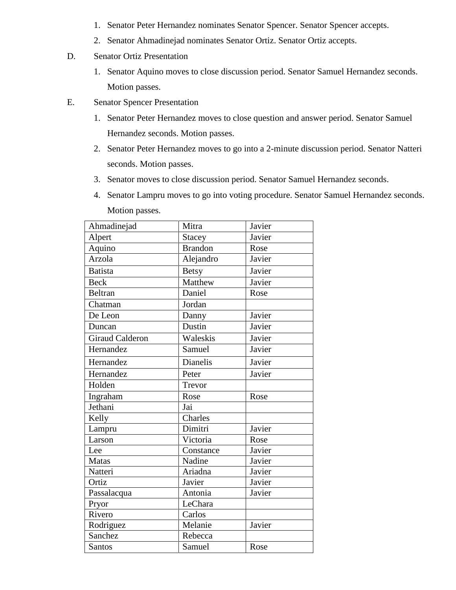- 1. Senator Peter Hernandez nominates Senator Spencer. Senator Spencer accepts.
- 2. Senator Ahmadinejad nominates Senator Ortiz. Senator Ortiz accepts.
- D. Senator Ortiz Presentation
	- 1. Senator Aquino moves to close discussion period. Senator Samuel Hernandez seconds. Motion passes.
- E. Senator Spencer Presentation
	- 1. Senator Peter Hernandez moves to close question and answer period. Senator Samuel Hernandez seconds. Motion passes.
	- 2. Senator Peter Hernandez moves to go into a 2-minute discussion period. Senator Natteri seconds. Motion passes.
	- 3. Senator moves to close discussion period. Senator Samuel Hernandez seconds.
	- 4. Senator Lampru moves to go into voting procedure. Senator Samuel Hernandez seconds. Motion passes.

| Ahmadinejad     | Mitra          | Javier |
|-----------------|----------------|--------|
| Alpert          | <b>Stacey</b>  | Javier |
| Aquino          | <b>Brandon</b> | Rose   |
| Arzola          | Alejandro      | Javier |
| <b>Batista</b>  | <b>Betsy</b>   | Javier |
| <b>Beck</b>     | Matthew        | Javier |
| <b>Beltran</b>  | Daniel         | Rose   |
| Chatman         | Jordan         |        |
| De Leon         | Danny          | Javier |
| Duncan          | Dustin         | Javier |
| Giraud Calderon | Waleskis       | Javier |
| Hernandez       | Samuel         | Javier |
| Hernandez       | Dianelis       | Javier |
| Hernandez       | Peter          | Javier |
| Holden          | Trevor         |        |
| Ingraham        | Rose           | Rose   |
| Jethani         | Jai            |        |
| Kelly           | Charles        |        |
| Lampru          | Dimitri        | Javier |
| Larson          | Victoria       | Rose   |
| Lee             | Constance      | Javier |
| <b>Matas</b>    | Nadine         | Javier |
| Natteri         | Ariadna        | Javier |
| Ortiz           | Javier         | Javier |
| Passalacqua     | Antonia        | Javier |
| Pryor           | LeChara        |        |
| Rivero          | Carlos         |        |
| Rodriguez       | Melanie        | Javier |
| Sanchez         | Rebecca        |        |
| <b>Santos</b>   | Samuel         | Rose   |
|                 |                |        |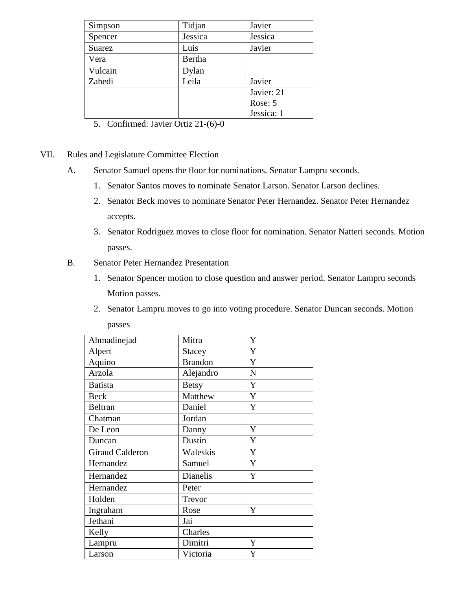| Simpson | Tidjan  | Javier     |
|---------|---------|------------|
| Spencer | Jessica | Jessica    |
| Suarez  | Luis    | Javier     |
| Vera    | Bertha  |            |
| Vulcain | Dylan   |            |
| Zahedi  | Leila   | Javier     |
|         |         | Javier: 21 |
|         |         | Rose: 5    |
|         |         | Jessica: 1 |

- 5. Confirmed: Javier Ortiz 21-(6)-0
- VII. Rules and Legislature Committee Election
	- A. Senator Samuel opens the floor for nominations. Senator Lampru seconds.
		- 1. Senator Santos moves to nominate Senator Larson. Senator Larson declines.
		- 2. Senator Beck moves to nominate Senator Peter Hernandez. Senator Peter Hernandez accepts.
		- 3. Senator Rodriguez moves to close floor for nomination. Senator Natteri seconds. Motion passes.
	- B. Senator Peter Hernandez Presentation
		- 1. Senator Spencer motion to close question and answer period. Senator Lampru seconds Motion passes.
		- 2. Senator Lampru moves to go into voting procedure. Senator Duncan seconds. Motion passes

| Ahmadinejad            | Mitra<br>Y     |             |
|------------------------|----------------|-------------|
| Alpert                 | Y<br>Stacey    |             |
| Aquino                 | <b>Brandon</b> | Y           |
| Arzola                 | Alejandro      | $\mathbf N$ |
| <b>Batista</b>         | <b>Betsy</b>   | Y           |
| <b>Beck</b>            | Matthew        | Y           |
| <b>Beltran</b>         | Daniel         | Y           |
| Chatman                | Jordan         |             |
| De Leon                | Danny          | Y           |
| Duncan                 | Dustin         | $\mathbf Y$ |
| <b>Giraud Calderon</b> | Waleskis       | Y           |
| Hernandez              | Samuel         | Y           |
| Hernandez              | Dianelis       | Y           |
| Hernandez              | Peter          |             |
| Holden                 | Trevor         |             |
| Ingraham               | Rose           | Y           |
| Jethani                | Jai            |             |
| Kelly                  | Charles        |             |
| Lampru                 | Dimitri        | Y           |
| Larson                 | Victoria       | Y           |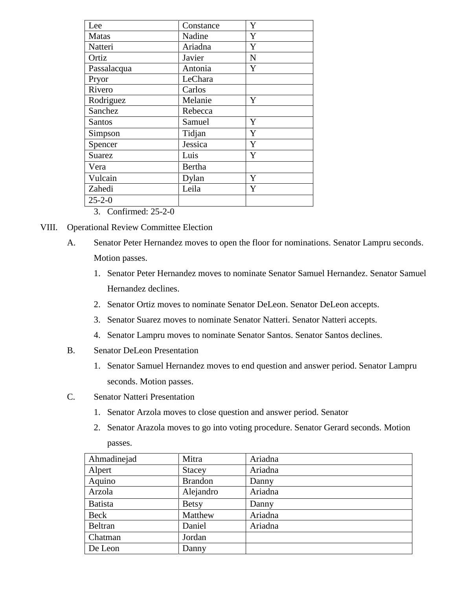| Lee           | Y<br>Constance |             |
|---------------|----------------|-------------|
| <b>Matas</b>  | Y<br>Nadine    |             |
| Natteri       | Ariadna        | Y           |
| Ortiz         | Javier         | $\mathbf N$ |
| Passalacqua   | Antonia        | Y           |
| Pryor         | LeChara        |             |
| Rivero        | Carlos         |             |
| Rodriguez     | Y<br>Melanie   |             |
| Sanchez       | Rebecca        |             |
| <b>Santos</b> | Samuel         | Y           |
| Simpson       | Tidjan         | Y           |
| Spencer       | Jessica        | Y           |
| <b>Suarez</b> | Luis           | Y           |
| Vera          | Bertha         |             |
| Vulcain       | Y<br>Dylan     |             |
| Zahedi        | Leila          | Y           |
| $25 - 2 - 0$  |                |             |
|               |                |             |

3. Confirmed: 25-2-0

- VIII. Operational Review Committee Election
	- A. Senator Peter Hernandez moves to open the floor for nominations. Senator Lampru seconds. Motion passes.
		- 1. Senator Peter Hernandez moves to nominate Senator Samuel Hernandez. Senator Samuel Hernandez declines.
		- 2. Senator Ortiz moves to nominate Senator DeLeon. Senator DeLeon accepts.
		- 3. Senator Suarez moves to nominate Senator Natteri. Senator Natteri accepts.
		- 4. Senator Lampru moves to nominate Senator Santos. Senator Santos declines.
	- B. Senator DeLeon Presentation
		- 1. Senator Samuel Hernandez moves to end question and answer period. Senator Lampru seconds. Motion passes.
	- C. Senator Natteri Presentation
		- 1. Senator Arzola moves to close question and answer period. Senator
		- 2. Senator Arazola moves to go into voting procedure. Senator Gerard seconds. Motion passes.

| Ahmadinejad    | Mitra          | Ariadna |
|----------------|----------------|---------|
| Alpert         | Stacey         | Ariadna |
| Aquino         | <b>Brandon</b> | Danny   |
| Arzola         | Alejandro      | Ariadna |
| <b>Batista</b> | <b>Betsy</b>   | Danny   |
| Beck           | Matthew        | Ariadna |
| Beltran        | Daniel         | Ariadna |
| Chatman        | Jordan         |         |
| De Leon        | Danny          |         |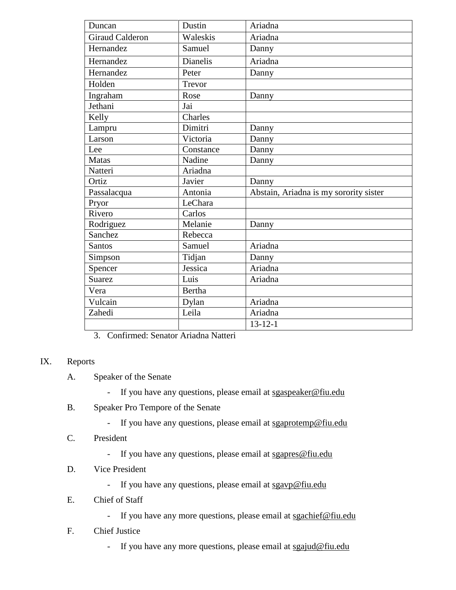| Duncan          | Dustin               | Ariadna                                |
|-----------------|----------------------|----------------------------------------|
| Giraud Calderon | Waleskis             | Ariadna                                |
| Hernandez       | Samuel               | Danny                                  |
| Hernandez       | <b>Dianelis</b>      | Ariadna                                |
| Hernandez       | Peter                | Danny                                  |
| Holden          | $\overline{T}$ revor |                                        |
| Ingraham        | Rose                 | Danny                                  |
| Jethani         | Jai                  |                                        |
| Kelly           | Charles              |                                        |
| Lampru          | Dimitri              | Danny                                  |
| Larson          | Victoria             | Danny                                  |
| Lee             | Constance            | Danny                                  |
| <b>Matas</b>    | Nadine               | Danny                                  |
| Natteri         | Ariadna              |                                        |
| Ortiz           | Javier               | Danny                                  |
| Passalacqua     | Antonia              | Abstain, Ariadna is my sorority sister |
| Pryor           | LeChara              |                                        |
| Rivero          | Carlos               |                                        |
| Rodriguez       | Melanie              | Danny                                  |
| Sanchez         | Rebecca              |                                        |
| <b>Santos</b>   | Samuel               | Ariadna                                |
| Simpson         | Tidjan               | Danny                                  |
| Spencer         | Jessica              | Ariadna                                |
| Suarez          | Luis                 | Ariadna                                |
| Vera            | <b>Bertha</b>        |                                        |
| Vulcain         | Dylan                | Ariadna                                |
| Zahedi          | Leila                | Ariadna                                |
|                 |                      | $13 - 12 - 1$                          |

3. Confirmed: Senator Ariadna Natteri

## IX. Reports

- A. Speaker of the Senate
	- If you have any questions, please email at sgaspeaker@fiu.edu
- B. Speaker Pro Tempore of the Senate
	- If you have any questions, please email at sgaprotemp@fiu.edu
- C. President
	- If you have any questions, please email at sgapres@fiu.edu
- D. Vice President
	- If you have any questions, please email at sgavp@fiu.edu
- E. Chief of Staff
	- If you have any more questions, please email at sgachief@fiu.edu
- F. Chief Justice
	- If you have any more questions, please email at sgajud@fiu.edu